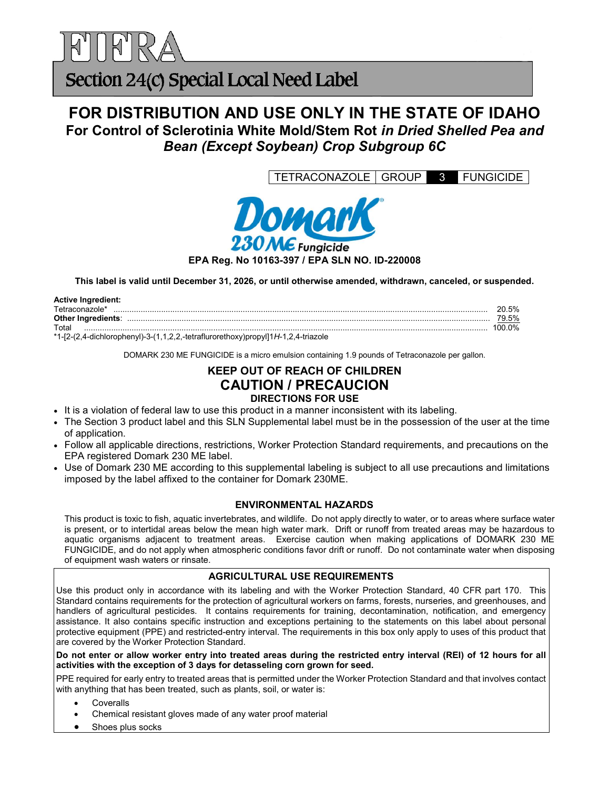

# Section 24(c) Special Local Need Label

# FOR DISTRIBUTION AND USE ONLY IN THE STATE OF IDAHO For Control of Sclerotinia White Mold/Stem Rot in Dried Shelled Pea and Bean (Except Soybean) Crop Subgroup 6C

TETRACONAZOLE GROUP 3 FUNGICIDE



This label is valid until December 31, 2026, or until otherwise amended, withdrawn, canceled, or suspended.

| <b>Active Ingredient:</b>                                                         |          |
|-----------------------------------------------------------------------------------|----------|
| Tetraconazole*                                                                    | 5%<br>ንበ |
| Other Ingredients:                                                                | 79.5%    |
| Total                                                                             | 100 0%   |
| *1-[2-(2 d-dichlorophenyl)-3-(1 1 2 2 -tetraflurorethoxy)propyl[1H-1 2 d-triazole |          |

\*1-[2-(2,4-dichlorophenyl)-3-(1,1,2,2,-tetraflurorethoxy)propyl]1H-1,2,4-triazole

DOMARK 230 ME FUNGICIDE is a micro emulsion containing 1.9 pounds of Tetraconazole per gallon.

## KEEP OUT OF REACH OF CHILDREN CAUTION / PRECAUCION DIRECTIONS FOR USE

- It is a violation of federal law to use this product in a manner inconsistent with its labeling.
- The Section 3 product label and this SLN Supplemental label must be in the possession of the user at the time of application.
- Follow all applicable directions, restrictions, Worker Protection Standard requirements, and precautions on the EPA registered Domark 230 ME label.
- Use of Domark 230 ME according to this supplemental labeling is subject to all use precautions and limitations imposed by the label affixed to the container for Domark 230ME.

### ENVIRONMENTAL HAZARDS

This product is toxic to fish, aquatic invertebrates, and wildlife. Do not apply directly to water, or to areas where surface water is present, or to intertidal areas below the mean high water mark. Drift or runoff from treated areas may be hazardous to aquatic organisms adjacent to treatment areas. Exercise caution when making applications of DOMARK 230 ME FUNGICIDE, and do not apply when atmospheric conditions favor drift or runoff. Do not contaminate water when disposing of equipment wash waters or rinsate.

### AGRICULTURAL USE REQUIREMENTS

Use this product only in accordance with its labeling and with the Worker Protection Standard, 40 CFR part 170. This Standard contains requirements for the protection of agricultural workers on farms, forests, nurseries, and greenhouses, and handlers of agricultural pesticides. It contains requirements for training, decontamination, notification, and emergency assistance. It also contains specific instruction and exceptions pertaining to the statements on this label about personal protective equipment (PPE) and restricted-entry interval. The requirements in this box only apply to uses of this product that are covered by the Worker Protection Standard.

Do not enter or allow worker entry into treated areas during the restricted entry interval (REI) of 12 hours for all activities with the exception of 3 days for detasseling corn grown for seed.

PPE required for early entry to treated areas that is permitted under the Worker Protection Standard and that involves contact with anything that has been treated, such as plants, soil, or water is:

Coveralls

- Chemical resistant gloves made of any water proof material
- Shoes plus socks